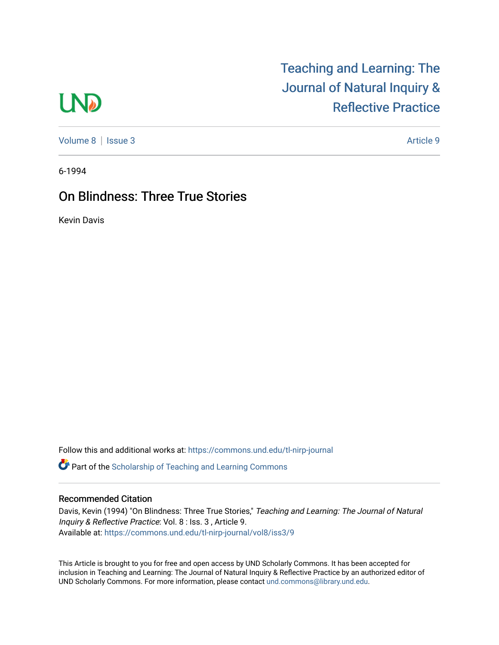# **LND**

[Teaching and Learning: The](https://commons.und.edu/tl-nirp-journal)  [Journal of Natural Inquiry &](https://commons.und.edu/tl-nirp-journal)  [Reflective Practice](https://commons.und.edu/tl-nirp-journal) 

[Volume 8](https://commons.und.edu/tl-nirp-journal/vol8) | [Issue 3](https://commons.und.edu/tl-nirp-journal/vol8/iss3) Article 9

6-1994

## On Blindness: Three True Stories

Kevin Davis

Follow this and additional works at: [https://commons.und.edu/tl-nirp-journal](https://commons.und.edu/tl-nirp-journal?utm_source=commons.und.edu%2Ftl-nirp-journal%2Fvol8%2Fiss3%2F9&utm_medium=PDF&utm_campaign=PDFCoverPages)  **C** Part of the Scholarship of Teaching and Learning Commons

### Recommended Citation

Davis, Kevin (1994) "On Blindness: Three True Stories," Teaching and Learning: The Journal of Natural Inquiry & Reflective Practice: Vol. 8 : Iss. 3 , Article 9. Available at: [https://commons.und.edu/tl-nirp-journal/vol8/iss3/9](https://commons.und.edu/tl-nirp-journal/vol8/iss3/9?utm_source=commons.und.edu%2Ftl-nirp-journal%2Fvol8%2Fiss3%2F9&utm_medium=PDF&utm_campaign=PDFCoverPages)

This Article is brought to you for free and open access by UND Scholarly Commons. It has been accepted for inclusion in Teaching and Learning: The Journal of Natural Inquiry & Reflective Practice by an authorized editor of UND Scholarly Commons. For more information, please contact [und.commons@library.und.edu.](mailto:und.commons@library.und.edu)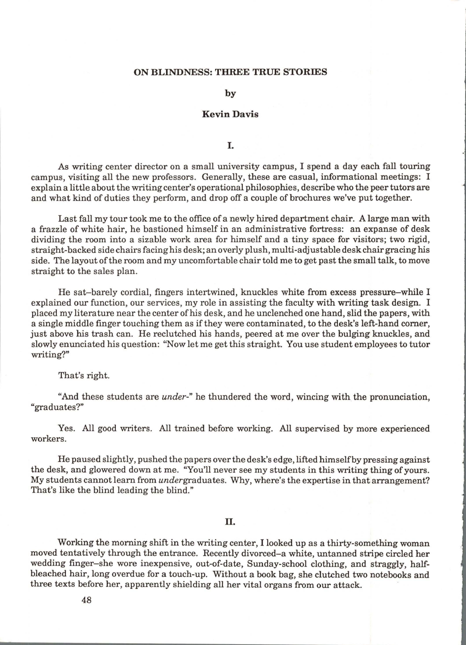#### **ON BLINDNESS: THREE TRUE STORIES**

**by** 

#### **Kevin Davis**

I.

As writing center director on a small university campus, I spend a day each fall touring campus, visiting all the new professors. Generally, these are casual, informational meetings: I explain a little about the writing center's operational philosophies, describe who the peer tutors are and what kind of duties they perform, and drop off a couple of brochures we've put together.

Last fall my tour took me to the office of a newly hired department chair. A large man with a frazzle of white hair, he bastioned himself in an administrative fortress: an expanse of desk dividing the room into a sizable work area for himself and a tiny space for visitors; two rigid, straight-backed side chairs facing his desk; an overly plush, multi-adjustable desk chair gracing his side. The layout of the room and my uncomfortable chair told me to get past the small talk, to move straight to the sales plan.

He sat-barely cordial, fingers intertwined, knuckles white from excess pressure-while I explained our function, our services, my role in assisting the faculty with writing task design. I placed my literature near the center of his desk, and he unclenched one hand, slid the papers, with a single middle finger touching them as if they were contaminated, to the desk's left-hand corner, just above his trash can. He reclutched his hands, peered at me over the bulging knuckles, and slowly enunciated his question: "Now let me get this straight. You use student employees to tutor writing?"

That's right.

"And these students are *under-"* he thundered the word, wincing with the pronunciation, "graduates?"

Yes. All good writers. All trained before working. All supervised by more experienced workers.

He paused slightly, pushed the papers over the desk's edge, lifted himself by pressing against the desk, and glowered down at me. "You'll never see my students in this writing thing of yours. My students cannot learn from *undergraduates*. Why, where's the expertise in that arrangement? That's like the blind leading the blind."

Working the morning shift in the writing center, I looked up as a thirty-something woman moved tentatively through the entrance. Recently divorced-a white, untanned stripe circled her wedding finger-she wore inexpensive, out-of-date, Sunday-school clothing, and straggly, halfbleached hair, long overdue for a touch-up. Without a book bag, she clutched two notebooks and three texts before her, apparently shielding all her vital organs from our attack.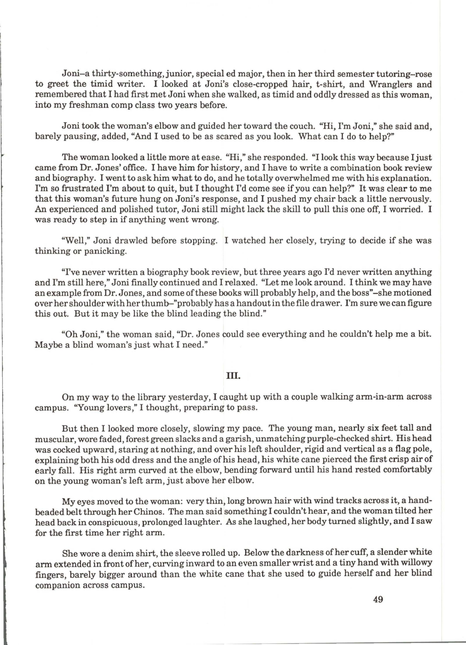Joni-a thirty-something, junior, special ed major, then in her third semester tutoring-rose to greet the timid writer. I looked at Joni's close-cropped hair, t-shirt, and Wranglers and remembered that I had first met Joni when she walked, as timid and oddly dressed as this woman, into my freshman comp class two years before.

Joni took the woman's elbow and guided her toward the couch. "Hi, I'm Joni," she said and, barely pausing, added, "And I used to be as scared as you look. What can I do to help?"

The woman looked a little more at ease. "Hi," she responded. "I look this way because I just came from Dr. Jones' office. I have him for history, and I have to write a combination book review and biography. I went to ask him what to do, and he totally overwhelmed me with his explanation. I'm so frustrated I'm about to quit, but I thought I'd come see if you can help?" It was clear to me that this woman's future hung on Joni's response, and I pushed my chair back a little nervously. An experienced and polished tutor, Joni still might lack the skill to pull this one off, I worried. I was ready to step in if anything went wrong.

"Well," Joni drawled before stopping. I watched her closely, trying to decide if she was thinking or panicking.

"I've never written a biography book review, but three years ago I'd never written anything and I'm still here," Joni finally continued and I relaxed. "Let me look around. I think we may have anexamplefrom Dr.Jones, and some of these books will probably help, and the boss"-shemotioned over her shoulder with her thumb-"probably has a handout in the file drawer. I'm sure we can figure this out. But it may be like the blind leading the blind."

"Oh Joni," the woman said, "Dr. Jones could see everything and he couldn't help me a bit. Maybe a blind woman's just what I need."

#### III.

On my way to the library yesterday, I caught up with a couple walking arm-in-arm across campus. "Young lovers," I thought, preparing to pass.

But then I looked more closely, slowing my pace. The young man, nearly six feet tall and muscular, wore faded, forest green slacks and a garish, unmatching purple-checked shirt. His head was cocked upward, staring at nothing, and over his left shoulder, rigid and vertical as a flag pole, explaining both his odd dress and the angle of his head, his white cane pierced the first crisp air of early fall. His right arm curved at the elbow, bending forward until his hand rested comfortably on the young woman's left arm, just above her elbow.

**My** eyes moved to the woman: very thin, long brown hair with wind tracks across it, a handbeaded belt through her Chinos. The man said something I couldn't hear, and the woman tilted her head back in conspicuous, prolonged laughter. As she laughed, her body turned slightly, and I saw for the first time her right arm.

She wore a denim shirt, the sleeve rolled up. Below the darkness of her cuff, a slender white arm extended in front of her, curving inward to an even smaller wrist and a tiny hand with willowy fingers, barely bigger around than the white cane that she used to guide herself and her blind companion across campus.